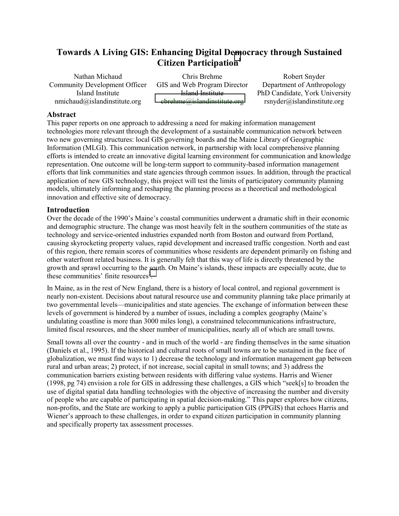# **Towards A Living GIS: Enhancing Digital D[em](#page-4-0)ocracy through Sustained Citizen Participation1**

Nathan Michaud Community Development Officer Island Institute nmichaud@islandinstitute.org

Chris Brehme GIS and Web Program Director Island Institute [cbrehme@islandinstitute.org](mailto:cbrehme@islandinstitute.org) 

Robert Snyder Department of Anthropology PhD Candidate, York University rsnyder@islandinstitute.org

## **Abstract**

This paper reports on one approach to addressing a need for making information management technologies more relevant through the development of a sustainable communication network between two new governing structures: local GIS governing boards and the Maine Library of Geographic Information (MLGI). This communication network, in partnership with local comprehensive planning efforts is intended to create an innovative digital learning environment for communication and knowledge representation. One outcome will be long-term support to community-based information management efforts that link communities and state agencies through common issues. In addition, through the practical application of new GIS technology, this project will test the limits of participatory community planning models, ultimately informing and reshaping the planning process as a theoretical and methodological innovation and effective site of democracy.

## **Introduction**

Over the decade of the 1990's Maine's coastal communities underwent a dramatic shift in their economic and demographic structure. The change was most heavily felt in the southern communities of the state as technology and service-oriented industries expanded north from Boston and outward from Portland, causing skyrocketing property values, rapid development and increased traffic congestion. North and east of this region, there remain scores of communities whose residents are dependent primarily on fishing and other waterfront related business. It is generally felt that this way of life is directly threatened by the growth and sprawl occurring to the south. On Maine's islands, these impacts are especially acute, due to these communities' finite resources<sup>2</sup>.

In Maine, as in the rest of New England, there is a history of local control, and regional government is nearly non-existent. Decisions about natural resource use and community planning take place primarily at two governmental levels—municipalities and state agencies. The exchange of information between these levels of government is hindered by a number of issues, including a complex geography (Maine's undulating coastline is more than 3000 miles long), a constrained telecommunications infrastructure, limited fiscal resources, and the sheer number of municipalities, nearly all of which are small towns.

Small towns all over the country - and in much of the world - are finding themselves in the same situation (Daniels et al., 1995). If the historical and cultural roots of small towns are to be sustained in the face of globalization, we must find ways to 1) decrease the technology and information management gap between rural and urban areas; 2) protect, if not increase, social capital in small towns; and 3) address the communication barriers existing between residents with differing value systems. Harris and Wiener (1998, pg 74) envision a role for GIS in addressing these challenges, a GIS which "seek[s] to broaden the use of digital spatial data handling technologies with the objective of increasing the number and diversity of people who are capable of participating in spatial decision-making." This paper explores how citizens, non-profits, and the State are working to apply a public participation GIS (PPGIS) that echoes Harris and Wiener's approach to these challenges, in order to expand citizen participation in community planning and specifically property tax assessment processes.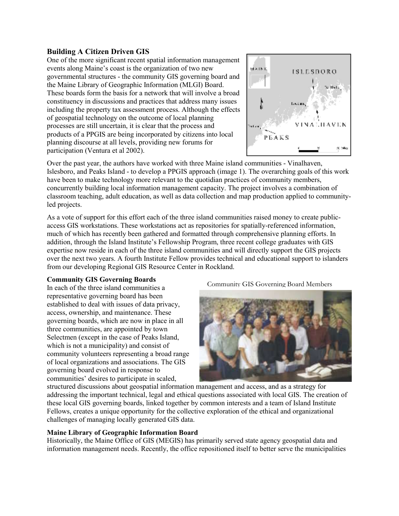## **Building A Citizen Driven GIS**

One of the more significant recent spatial information management events along Maine's coast is the organization of two new governmental structures - the community GIS governing board and the Maine Library of Geographic Information (MLGI) Board. These boards form the basis for a network that will involve a broad constituency in discussions and practices that address many issues including the property tax assessment process. Although the effects of geospatial technology on the outcome of local planning processes are still uncertain, it is clear that the process and products of a PPGIS are being incorporated by citizens into local planning discourse at all levels, providing new forums for participation (Ventura et al 2002).



Over the past year, the authors have worked with three Maine island communities - Vinalhaven, Islesboro, and Peaks Island - to develop a PPGIS approach (image 1). The overarching goals of this work have been to make technology more relevant to the quotidian practices of community members, concurrently building local information management capacity. The project involves a combination of classroom teaching, adult education, as well as data collection and map production applied to communityled projects.

As a vote of support for this effort each of the three island communities raised money to create publicaccess GIS workstations. These workstations act as repositories for spatially-referenced information, much of which has recently been gathered and formatted through comprehensive planning efforts. In addition, through the Island Institute's Fellowship Program, three recent college graduates with GIS expertise now reside in each of the three island communities and will directly support the GIS projects over the next two years. A fourth Institute Fellow provides technical and educational support to islanders from our developing Regional GIS Resource Center in Rockland.

#### **Community GIS Governing Boards**

In each of the three island communities a representative governing board has been established to deal with issues of data privacy, access, ownership, and maintenance. These governing boards, which are now in place in all three communities, are appointed by town Selectmen (except in the case of Peaks Island, which is not a municipality) and consist of community volunteers representing a broad range of local organizations and associations. The GIS governing board evolved in response to communities' desires to participate in scaled,

Community GIS Governing Board Members



structured discussions about geospatial information management and access, and as a strategy for addressing the important technical, legal and ethical questions associated with local GIS. The creation of these local GIS governing boards, linked together by common interests and a team of Island Institute Fellows, creates a unique opportunity for the collective exploration of the ethical and organizational challenges of managing locally generated GIS data.

## **Maine Library of Geographic Information Board**

Historically, the Maine Office of GIS (MEGIS) has primarily served state agency geospatial data and information management needs. Recently, the office repositioned itself to better serve the municipalities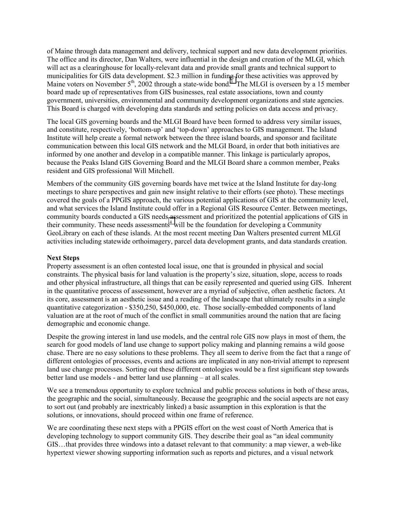of Maine through data management and delivery, technical support and new data development priorities. The office and its director, Dan Walters, were influential in the design and creation of the MLGI, which will act as a clearinghouse for locally-relevant data and provide small grants and technical support to municipalities for GIS data development. \$2.3 million in fundi[ng f](#page-4-0)or these activities was approved by Maine voters on November  $5<sup>th</sup>$ , 2002 through a state-wide bond.<sup>3</sup> The MLGI is overseen by a 15 member board made up of representatives from GIS businesses, real estate associations, town and county government, universities, environmental and community development organizations and state agencies. This Board is charged with developing data standards and setting policies on data access and privacy.

The local GIS governing boards and the MLGI Board have been formed to address very similar issues, and constitute, respectively, 'bottom-up' and 'top-down' approaches to GIS management. The Island Institute will help create a formal network between the three island boards, and sponsor and facilitate communication between this local GIS network and the MLGI Board, in order that both initiatives are informed by one another and develop in a compatible manner. This linkage is particularly apropos, because the Peaks Island GIS Governing Board and the MLGI Board share a common member, Peaks resident and GIS professional Will Mitchell.

Members of the community GIS governing boards have met twice at the Island Institute for day-long meetings to share perspectives and gain new insight relative to their efforts (see photo). These meetings covered the goals of a PPGIS approach, the various potential applications of GIS at the community level, and what services the Island Institute could offer in a Regional GIS Resource Center. Between meetings, community boards conducted a GIS needs [as](#page-4-0)sessment and prioritized the potential applications of GIS in their community. These needs assessments<sup>4</sup> will be the foundation for developing a Community GeoLibrary on each of these islands. At the most recent meeting Dan Walters presented current MLGI activities including statewide orthoimagery, parcel data development grants, and data standards creation.

#### **Next Steps**

Property assessment is an often contested local issue, one that is grounded in physical and social constraints. The physical basis for land valuation is the property's size, situation, slope, access to roads and other physical infrastructure, all things that can be easily represented and queried using GIS. Inherent in the quantitative process of assessment, however are a myriad of subjective, often aesthetic factors. At its core, assessment is an aesthetic issue and a reading of the landscape that ultimately results in a single quantitative categorization - \$350,250, \$450,000, etc. Those socially-embedded components of land valuation are at the root of much of the conflict in small communities around the nation that are facing demographic and economic change.

Despite the growing interest in land use models, and the central role GIS now plays in most of them, the search for good models of land use change to support policy making and planning remains a wild goose chase. There are no easy solutions to these problems. They all seem to derive from the fact that a range of different ontologies of processes, events and actions are implicated in any non-trivial attempt to represent land use change processes. Sorting out these different ontologies would be a first significant step towards better land use models - and better land use planning – at all scales.

We see a tremendous opportunity to explore technical and public process solutions in both of these areas, the geographic and the social, simultaneously. Because the geographic and the social aspects are not easy to sort out (and probably are inextricably linked) a basic assumption in this exploration is that the solutions, or innovations, should proceed within one frame of reference.

We are coordinating these next steps with a PPGIS effort on the west coast of North America that is developing technology to support community GIS. They describe their goal as "an ideal community GIS…that provides three windows into a dataset relevant to that community: a map viewer, a web-like hypertext viewer showing supporting information such as reports and pictures, and a visual network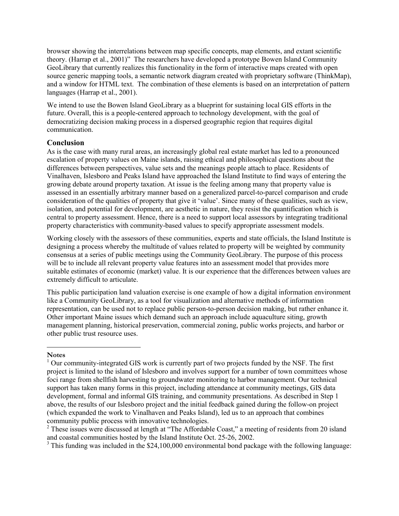browser showing the interrelations between map specific concepts, map elements, and extant scientific theory. (Harrap et al., 2001)" The researchers have developed a prototype Bowen Island Community GeoLibrary that currently realizes this functionality in the form of interactive maps created with open source generic mapping tools, a semantic network diagram created with proprietary software (ThinkMap), and a window for HTML text. The combination of these elements is based on an interpretation of pattern languages (Harrap et al., 2001).

We intend to use the Bowen Island GeoLibrary as a blueprint for sustaining local GIS efforts in the future. Overall, this is a people-centered approach to technology development, with the goal of democratizing decision making process in a dispersed geographic region that requires digital communication.

## **Conclusion**

As is the case with many rural areas, an increasingly global real estate market has led to a pronounced escalation of property values on Maine islands, raising ethical and philosophical questions about the differences between perspectives, value sets and the meanings people attach to place. Residents of Vinalhaven, Islesboro and Peaks Island have approached the Island Institute to find ways of entering the growing debate around property taxation. At issue is the feeling among many that property value is assessed in an essentially arbitrary manner based on a generalized parcel-to-parcel comparison and crude consideration of the qualities of property that give it 'value'. Since many of these qualities, such as view, isolation, and potential for development, are aesthetic in nature, they resist the quantification which is central to property assessment. Hence, there is a need to support local assessors by integrating traditional property characteristics with community-based values to specify appropriate assessment models.

Working closely with the assessors of these communities, experts and state officials, the Island Institute is designing a process whereby the multitude of values related to property will be weighted by community consensus at a series of public meetings using the Community GeoLibrary. The purpose of this process will be to include all relevant property value features into an assessment model that provides more suitable estimates of economic (market) value. It is our experience that the differences between values are extremely difficult to articulate.

This public participation land valuation exercise is one example of how a digital information environment like a Community GeoLibrary, as a tool for visualization and alternative methods of information representation, can be used not to replace public person-to-person decision making, but rather enhance it. Other important Maine issues which demand such an approach include aquaculture siting, growth management planning, historical preservation, commercial zoning, public works projects, and harbor or other public trust resource uses.

#### **Notes**

 $\overline{a}$ 

<sup>3</sup> This funding was included in the \$24,100,000 environmental bond package with the following language:

 $1$  Our community-integrated GIS work is currently part of two projects funded by the NSF. The first project is limited to the island of Islesboro and involves support for a number of town committees whose foci range from shellfish harvesting to groundwater monitoring to harbor management. Our technical support has taken many forms in this project, including attendance at community meetings, GIS data development, formal and informal GIS training, and community presentations. As described in Step 1 above, the results of our Islesboro project and the initial feedback gained during the follow-on project (which expanded the work to Vinalhaven and Peaks Island), led us to an approach that combines community public process with innovative technologies.

 $2$  These issues were discussed at length at "The Affordable Coast," a meeting of residents from 20 island and coastal communities hosted by the Island Institute Oct. 25-26, 2002.